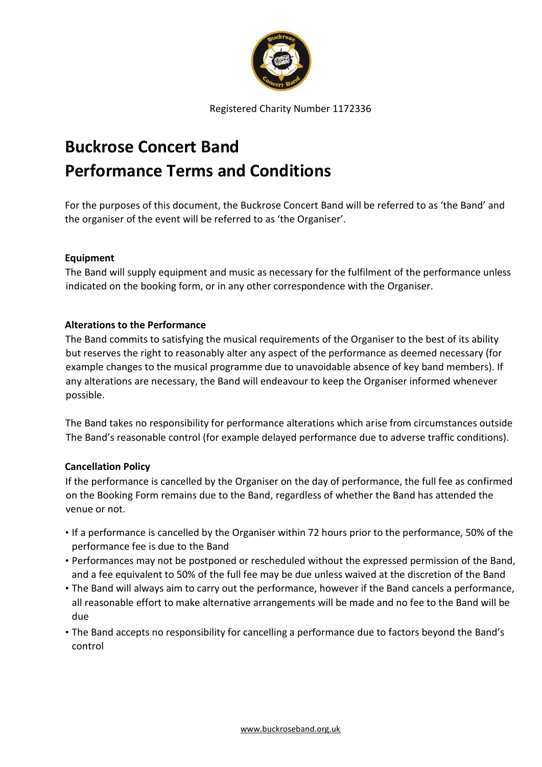

Registered Charity Number 1172336

# **Buckrose Concert Band Performance Terms and Conditions**

For the purposes of this document, the Buckrose Concert Band will be referred to as 'the Band' and the organiser of the event will be referred to as 'the Organiser'.

## **Equipment**

The Band will supply equipment and music as necessary for the fulfilment of the performance unless indicated on the booking form, or in any other correspondence with the Organiser.

## **Alterations to the Performance**

The Band commits to satisfying the musical requirements of the Organiser to the best of its ability but reserves the right to reasonably alter any aspect of the performance as deemed necessary (for example changes to the musical programme due to unavoidable absence of key band members). If any alterations are necessary, the Band will endeavour to keep the Organiser informed whenever possible.

The Band takes no responsibility for performance alterations which arise from circumstances outside The Band's reasonable control (for example delayed performance due to adverse traffic conditions).

# **Cancellation Policy**

If the performance is cancelled by the Organiser on the day of performance, the full fee as confirmed on the Booking Form remains due to the Band, regardless of whether the Band has attended the venue or not.

- If a performance is cancelled by the Organiser within 72 hours prior to the performance, 50% of the performance fee is due to the Band
- Performances may not be postponed or rescheduled without the expressed permission of the Band, and a fee equivalent to 50% of the full fee may be due unless waived at the discretion of the Band
- The Band will always aim to carry out the performance, however if the Band cancels a performance, all reasonable effort to make alternative arrangements will be made and no fee to the Band will be due
- The Band accepts no responsibility for cancelling a performance due to factors beyond the Band's control